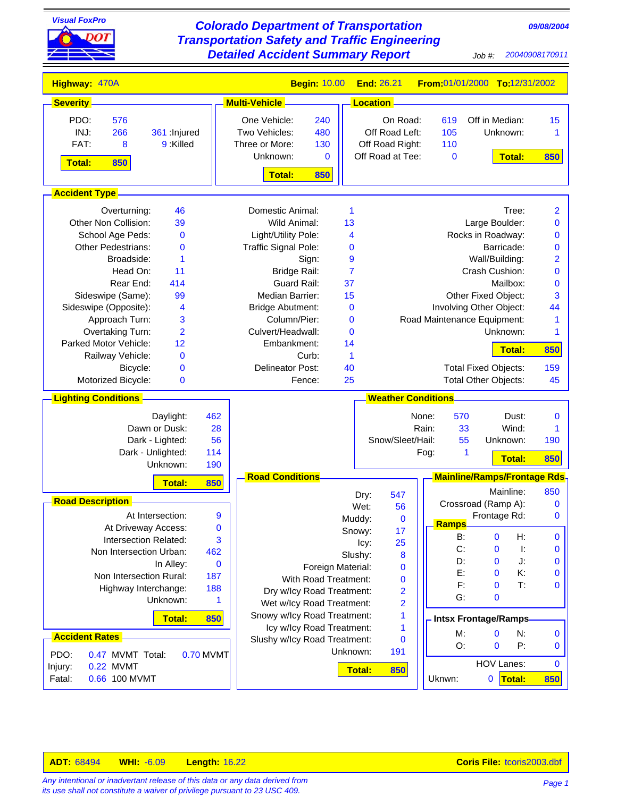

*its use shall not constitute a waiver of privilege pursuant to 23 USC 409.*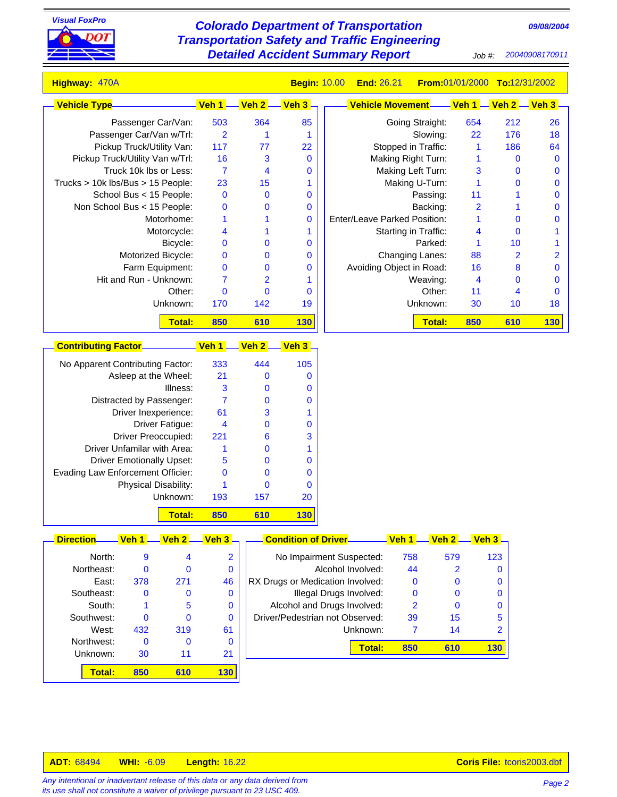

## *09/08/2004 Visual FoxPro Colorado Department of Transportation Transportation Safety and Traffic Engineering Detailed Accident Summary Report Job #: 20040908170911*

| Highway: 470A                            |                         |                         | <b>Begin: 10.00</b>    | <b>End: 26.21</b>            | From 01/01/2000 To:12/31/2002 |                      |                    |
|------------------------------------------|-------------------------|-------------------------|------------------------|------------------------------|-------------------------------|----------------------|--------------------|
| <b>Vehicle Type</b>                      | Veh 1.                  | Veh 2 -                 | <mark>. Veh 3 -</mark> | <b>Vehicle Movement-</b>     | Veh 1                         | <mark>Veh 2</mark> - | <mark>Veh 3</mark> |
| Passenger Car/Van:                       | 503                     | 364                     | 85                     | Going Straight:              | 654                           | 212                  |                    |
| Passenger Car/Van w/Trl:                 | $\overline{2}$          | $\mathbf{1}$            | 1                      | Slowing:                     | 22                            | 176                  |                    |
| Pickup Truck/Utility Van:                | 117                     | 77                      | 22                     | Stopped in Traffic:          | $\mathbf{1}$                  | 186                  |                    |
| Pickup Truck/Utility Van w/Trl:          | 16                      | 3                       | $\mathbf 0$            | Making Right Turn:           | 1                             | $\bf{0}$             |                    |
| Truck 10k lbs or Less:                   | $\overline{7}$          | $\overline{\mathbf{4}}$ | $\bf{0}$               | Making Left Turn:            | 3                             | $\bf{0}$             |                    |
| Trucks > 10k lbs/Bus > 15 People:        | 23                      | 15                      | 1                      | Making U-Turn:               | $\mathbf 1$                   | $\bf{0}$             |                    |
| School Bus < 15 People:                  | $\bf{0}$                | $\mathbf 0$             | $\bf{0}$               | Passing:                     | 11                            | 1                    |                    |
| Non School Bus < 15 People:              | $\bf{0}$                | $\bf{0}$                | $\bf{0}$               | Backing:                     | $\overline{\mathbf{2}}$       | 1                    |                    |
| Motorhome:                               | $\mathbf{1}$            | 1                       | $\bf{0}$               | Enter/Leave Parked Position: | 1                             | $\mathbf 0$          |                    |
| Motorcycle:                              | 4                       | 1                       | 1                      | Starting in Traffic:         | 4                             | $\mathbf 0$          |                    |
| Bicycle:                                 | $\bf{0}$                | $\bf{0}$                | $\mathbf 0$            | Parked:                      | 1                             | 10                   |                    |
| Motorized Bicycle:                       | $\bf{0}$                | $\bf{0}$                | $\bf{0}$               | Changing Lanes:              | 88                            | $\overline{2}$       |                    |
| Farm Equipment:                          | $\bf{0}$                | $\bf{0}$                | $\bf{0}$               | Avoiding Object in Road:     | 16                            | 8                    |                    |
| Hit and Run - Unknown:                   | $\overline{7}$          | $\overline{2}$          | 1                      | Weaving:                     | $\overline{\mathbf{4}}$       | $\bf{0}$             |                    |
| Other:                                   | $\mathbf 0$             | $\mathbf 0$             | $\bf{0}$               | Other:                       | 11                            | $\overline{4}$       |                    |
| Unknown:                                 | 170                     | 142                     | 19                     | Unknown:                     | 30                            | 10                   |                    |
| <b>Total:</b>                            | 850                     | 610                     | 130                    | <b>Total:</b>                | 850                           | 610                  | <b>130</b>         |
| <b>Contributing Factor</b>               | Veh 1                   | Veh <sub>2</sub>        | <mark>. Veh 3 -</mark> |                              |                               |                      |                    |
| No Apparent Contributing Factor:         | 333                     | 444                     | 105                    |                              |                               |                      |                    |
| Asleep at the Wheel:                     | 21                      | $\bf{0}$                | $\mathbf 0$            |                              |                               |                      |                    |
| Illness:                                 | 3                       | $\bf{0}$                | 0                      |                              |                               |                      |                    |
| Distracted by Passenger:                 | $\overline{7}$          | $\bf{0}$                | $\mathbf 0$            |                              |                               |                      |                    |
| Driver Inexperience:                     | 61                      | 3                       | 1                      |                              |                               |                      |                    |
| Driver Fatigue:                          | $\overline{\mathbf{4}}$ | $\bf{0}$                | $\bf{0}$               |                              |                               |                      |                    |
| <b>Driver Preoccupied:</b>               | 221                     | $6\phantom{1}6$         | 3                      |                              |                               |                      |                    |
| Driver Unfamilar with Area:              | 1                       | $\mathbf 0$             | 1                      |                              |                               |                      |                    |
| <b>Driver Emotionally Upset:</b>         | 5                       | $\bf{0}$                | $\bf{0}$               |                              |                               |                      |                    |
|                                          |                         |                         |                        |                              |                               |                      |                    |
| <b>Evading Law Enforcement Officier:</b> | $\bf{0}$                | $\bf{0}$                | $\bf{0}$               |                              |                               |                      |                    |
| Physical Disability:                     | 1                       | $\mathbf 0$             | $\mathbf 0$            |                              |                               |                      |                    |
| Unknown:                                 | 193                     | 157                     | 20                     |                              |                               |                      |                    |
| <b>Total:</b>                            | 850                     | 610                     | <b>130</b>             |                              |                               |                      |                    |

| Direction  | ven | ven | ven s |
|------------|-----|-----|-------|
|            |     |     |       |
| North:     | 9   | 4   | 2     |
| Northeast: | 0   | 0   | 0     |
| East:      | 378 | 271 | 46    |
| Southeast: | 0   | 0   | 0     |
| South:     | 1   | 5   | 0     |
| Southwest: | 0   | 0   | 0     |
| West:      | 432 | 319 | 61    |
| Northwest: | 0   | 0   | 0     |
| Unknown:   | 30  | 11  | 21    |
| Total:     | 850 | 610 | 130   |
|            |     |     |       |

| No Impairment Suspected:         | 758 | 579 | 123 |
|----------------------------------|-----|-----|-----|
| Alcohol Involved:                | 44  |     |     |
| RX Drugs or Medication Involved: | 0   |     |     |
| Illegal Drugs Involved:          | 0   |     |     |
| Alcohol and Drugs Involved:      | 2   | O   |     |
| Driver/Pedestrian not Observed:  | 39  | 15  | 5   |
| Unknown:                         |     | 14  |     |
| Total:                           | 850 | 610 |     |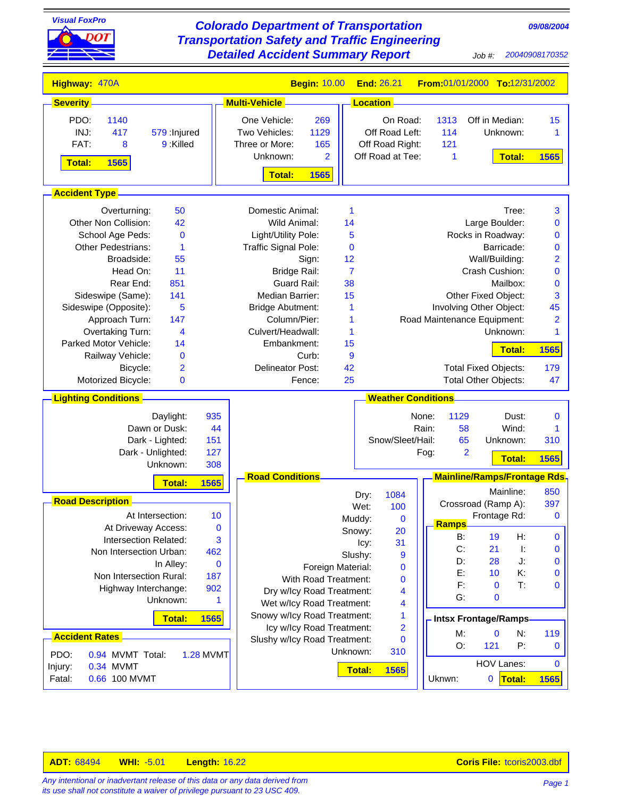| <b>Visual FoxPro</b><br><b>Colorado Department of Transportation</b><br>09/08/2004<br><b>Transportation Safety and Traffic Engineering</b><br><b>Detailed Accident Summary Report</b><br>20040908170352<br>$Job$ #: |                                                          |                 |                                     |                             |                             |                    |                                    |  |
|---------------------------------------------------------------------------------------------------------------------------------------------------------------------------------------------------------------------|----------------------------------------------------------|-----------------|-------------------------------------|-----------------------------|-----------------------------|--------------------|------------------------------------|--|
|                                                                                                                                                                                                                     |                                                          |                 |                                     |                             |                             |                    |                                    |  |
| Highway: 470A                                                                                                                                                                                                       | <b>Begin: 10.00</b>                                      |                 | End: 26.21                          |                             |                             |                    | From:01/01/2000 To:12/31/2002      |  |
| <b>Severity</b>                                                                                                                                                                                                     | <b>Multi-Vehicle</b>                                     | <b>Location</b> |                                     |                             |                             |                    |                                    |  |
| PDO:<br>1140                                                                                                                                                                                                        | One Vehicle:<br>269                                      |                 | On Road:                            | 1313                        |                             | Off in Median:     | 15                                 |  |
| INJ:<br>417<br>579 : Injured                                                                                                                                                                                        | Two Vehicles:<br>1129                                    |                 | Off Road Left:                      | 114                         |                             | Unknown:           | 1                                  |  |
| FAT:<br>9 Killed<br>8                                                                                                                                                                                               | Three or More:<br>165<br>Unknown:<br>$\overline{2}$      |                 | Off Road Right:<br>Off Road at Tee: | 121<br>1                    |                             | <b>Total:</b>      |                                    |  |
| <b>Total:</b><br>1565                                                                                                                                                                                               |                                                          |                 |                                     |                             |                             |                    | 1565                               |  |
|                                                                                                                                                                                                                     | 1565<br><b>Total:</b>                                    |                 |                                     |                             |                             |                    |                                    |  |
| <b>Accident Type -</b>                                                                                                                                                                                              |                                                          |                 |                                     |                             |                             |                    |                                    |  |
| 50<br>Overturning:                                                                                                                                                                                                  | Domestic Animal:                                         | 1               |                                     |                             |                             | Tree:              | 3                                  |  |
| 42<br>Other Non Collision:                                                                                                                                                                                          | Wild Animal:                                             | 14              |                                     |                             |                             | Large Boulder:     | 0                                  |  |
| School Age Peds:<br>$\bf{0}$<br><b>Other Pedestrians:</b><br>1                                                                                                                                                      | Light/Utility Pole:                                      | 5<br>$\bf{0}$   |                                     |                             | Rocks in Roadway:           | Barricade:         | 0                                  |  |
| 55<br>Broadside:                                                                                                                                                                                                    | Traffic Signal Pole:<br>Sign:                            | 12              |                                     |                             |                             | Wall/Building:     | 0<br>$\overline{\mathbf{c}}$       |  |
| 11<br>Head On:                                                                                                                                                                                                      | <b>Bridge Rail:</b>                                      | $\overline{7}$  |                                     |                             | Crash Cushion:              |                    | $\bf{0}$                           |  |
| Rear End:<br>851                                                                                                                                                                                                    | <b>Guard Rail:</b>                                       | 38              |                                     |                             |                             | Mailbox:           | $\bf{0}$                           |  |
| Sideswipe (Same):<br>141                                                                                                                                                                                            | Median Barrier:                                          | 15              |                                     |                             | Other Fixed Object:         |                    | 3                                  |  |
| Sideswipe (Opposite):<br>5                                                                                                                                                                                          | <b>Bridge Abutment:</b>                                  | 1               |                                     |                             | Involving Other Object:     |                    | 45                                 |  |
| 147<br>Approach Turn:                                                                                                                                                                                               | Column/Pier:                                             | 1               |                                     | Road Maintenance Equipment: |                             |                    | $\overline{2}$                     |  |
| Overtaking Turn:<br>4                                                                                                                                                                                               | Culvert/Headwall:                                        | 1               |                                     |                             |                             | Unknown:           | 1                                  |  |
| Parked Motor Vehicle:<br>14<br>Railway Vehicle:<br>$\bf{0}$                                                                                                                                                         | Embankment:<br>Curb:                                     | 15<br>9         |                                     |                             |                             | Total:             | 1565                               |  |
| Bicycle:<br>$\overline{2}$                                                                                                                                                                                          | <b>Delineator Post:</b>                                  | 42              |                                     |                             | <b>Total Fixed Objects:</b> |                    | 179                                |  |
| Motorized Bicycle:<br>$\bf{0}$                                                                                                                                                                                      | Fence:                                                   | 25              |                                     |                             | Total Other Objects:        |                    | 47                                 |  |
| <b>Lighting Conditions</b>                                                                                                                                                                                          |                                                          |                 | <b>Weather Conditions</b>           |                             |                             |                    |                                    |  |
| 935<br>Daylight:                                                                                                                                                                                                    |                                                          |                 |                                     | None:                       | 1129                        | Dust:              | 0                                  |  |
| Dawn or Dusk:<br>44                                                                                                                                                                                                 |                                                          |                 |                                     | Rain:                       | 58                          | Wind:              | 1                                  |  |
| Dark - Lighted:<br>151                                                                                                                                                                                              |                                                          |                 | Snow/Sleet/Hail:                    |                             | 65                          | Unknown:           | 310                                |  |
| Dark - Unlighted:<br>127                                                                                                                                                                                            |                                                          |                 |                                     | Fog:                        | 2                           | <b>Total:</b>      | 1565                               |  |
| 308<br>Unknown:                                                                                                                                                                                                     |                                                          |                 |                                     |                             |                             |                    |                                    |  |
| 1565<br><b>Total:</b>                                                                                                                                                                                               | <b>Road Conditions</b>                                   |                 |                                     |                             |                             | Mainline:          | Mainline/Ramps/Frontage Rds<br>850 |  |
| <b>Road Description</b>                                                                                                                                                                                             |                                                          | Dry:<br>Wet:    | 1084<br>100                         |                             | Crossroad (Ramp A):         |                    | 397                                |  |
| At Intersection:<br>10                                                                                                                                                                                              |                                                          | Muddy:          | $\bf{0}$                            |                             |                             | Frontage Rd:       | 0                                  |  |
| At Driveway Access:<br>$\bf{0}$                                                                                                                                                                                     |                                                          | Snowy:          | 20                                  | <b>Ramps</b>                |                             |                    |                                    |  |
| Intersection Related:<br>3                                                                                                                                                                                          |                                                          | lcy:            | 31                                  |                             | B:                          | 19                 | H:<br>0                            |  |
| Non Intersection Urban:<br>462                                                                                                                                                                                      |                                                          | Slushy:         | 9                                   |                             | C:<br>D:                    | 21<br>28           | Ŀ.<br>0<br>J.<br>0                 |  |
| $\bf{0}$<br>In Alley:                                                                                                                                                                                               | Foreign Material:                                        |                 | $\bf{0}$                            |                             | E:                          | 10                 | K:<br>0                            |  |
| Non Intersection Rural:<br>187<br>Highway Interchange:<br>902                                                                                                                                                       | <b>With Road Treatment:</b>                              |                 | $\bf{0}$                            |                             | F:                          | $\bf{0}$           | T:<br>0                            |  |
| Unknown:<br>1                                                                                                                                                                                                       | Dry w/lcy Road Treatment:                                |                 | 4                                   |                             | G:                          | $\bf{0}$           |                                    |  |
|                                                                                                                                                                                                                     | Wet w/lcy Road Treatment:<br>Snowy w/lcy Road Treatment: |                 | 4<br>1                              |                             |                             |                    |                                    |  |
| 1565<br><b>Total:</b>                                                                                                                                                                                               | Icy w/Icy Road Treatment:                                |                 | $\overline{2}$                      |                             | <b>Intsx Frontage/Ramps</b> |                    |                                    |  |
| <b>Accident Rates</b>                                                                                                                                                                                               | Slushy w/lcy Road Treatment:                             |                 | $\bf{0}$                            |                             | M:<br>O:                    | $\mathbf 0$<br>121 | N:<br>119<br>P:                    |  |
| PDO:<br>0.94 MVMT Total:<br><b>1.28 MVMT</b>                                                                                                                                                                        |                                                          | Unknown:        | 310                                 |                             |                             |                    | $\mathbf 0$                        |  |
| 0.34 MVMT<br>Injury:                                                                                                                                                                                                |                                                          | <b>Total:</b>   | 1565                                |                             |                             | <b>HOV Lanes:</b>  | $\mathbf 0$                        |  |
| 0.66 100 MVMT<br>Fatal:                                                                                                                                                                                             |                                                          |                 |                                     | Uknwn:                      |                             | 0<br>Total:        | 1565                               |  |

*Page 1 Any intentional or inadvertant release of this data or any data derived from its use shall not constitute a waiver of privilege pursuant to 23 USC 409.*

Ξ